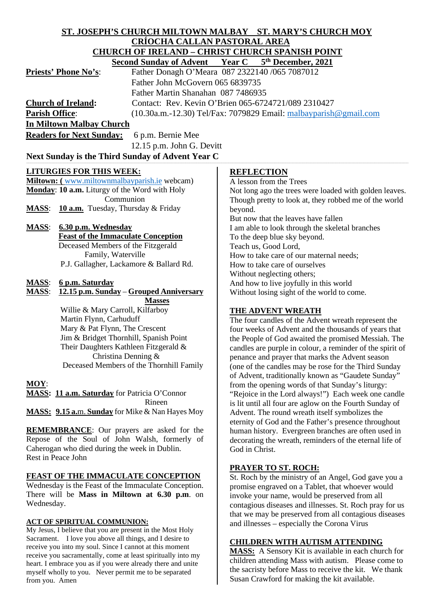#### **ST. JOSEPH'S CHURCH MILTOWN MALBAY ST. MARY'S CHURCH MOY CRÍOCHA CALLAN PASTORAL AREA CHURCH OF IRELAND – CHRIST CHURCH SPANISH POINT**<br>Second Sunday of Advent Vear C 5<sup>th</sup> December 2021  **Year C** 5<sup>th</sup> December, 2021

|                                                              | рссона ранаат ог тагтснг                                                           |                                                        |
|--------------------------------------------------------------|------------------------------------------------------------------------------------|--------------------------------------------------------|
| <b>Priests' Phone No's:</b>                                  | Father Donagh O'Meara 087 2322140 /065 7087012<br>Father John McGovern 065 6839735 |                                                        |
|                                                              |                                                                                    |                                                        |
|                                                              | Father Martin Shanahan 087 7486935                                                 |                                                        |
| <b>Church of Ireland:</b>                                    | Contact: Rev. Kevin O'Brien 065-6724721/089 2310427                                |                                                        |
| <b>Parish Office:</b>                                        | $(10.30a.m.-12.30)$ Tel/Fax: 7079829 Email: malbayparish @gmail.com                |                                                        |
| <b>In Miltown Malbay Church</b>                              |                                                                                    |                                                        |
| <b>Readers for Next Sunday:</b>                              | 6 p.m. Bernie Mee                                                                  |                                                        |
|                                                              | $12.15$ p.m. John G. Devitt                                                        |                                                        |
| Next Sunday is the Third Sunday of Advent Year C             |                                                                                    |                                                        |
| <b>LITURGIES FOR THIS WEEK:</b>                              |                                                                                    | <b>REFLECTION</b>                                      |
| <b>Miltown:</b> (www.miltownmalbayparish.ie webcam)          |                                                                                    | A lesson from the Trees                                |
| <b>Monday: 10 a.m.</b> Liturgy of the Word with Holy         |                                                                                    | Not long ago the trees were loaded with golden leaves. |
| Communion                                                    |                                                                                    | Though pretty to look at, they robbed me of the world  |
| <b>10 a.m.</b> Tuesday, Thursday $\&$ Friday<br><b>MASS:</b> |                                                                                    | beyond.                                                |
|                                                              |                                                                                    | n., 1.11 1.1011                                        |

**MASS**: **6.30 p.m. Wednesday Feast of the Immaculate Conception** Deceased Members of the Fitzgerald Family, Waterville P.J. Gallagher, Lackamore & Ballard Rd.

#### **MASS**: **6 p.m. Saturday**

**MASS**: **12.15 p.m. Sunday** – **Grouped Anniversary Masses**

> Willie & Mary Carroll, Kilfarboy Martin Flynn, Carhuduff Mary & Pat Flynn, The Crescent Jim & Bridget Thornhill, Spanish Point Their Daughters Kathleen Fitzgerald & Christina Denning & Deceased Members of the Thornhill Family

#### **MOY**:

**MASS: 11 a.m. Saturday** for Patricia O'Connor Rineen **MASS: 9.15 a.**m. **Sunday** for Mike & Nan Hayes Moy

**REMEMBRANCE**: Our prayers are asked for the Repose of the Soul of John Walsh, formerly of Caherogan who died during the week in Dublin. Rest in Peace John

#### **FEAST OF THE IMMACULATE CONCEPTION**

Wednesday is the Feast of the Immaculate Conception. There will be **Mass in Miltown at 6.30 p.m**. on Wednesday.

#### **ACT OF SPIRITUAL COMMUNION:**

My Jesus, I believe that you are present in the Most Holy Sacrament. I love you above all things, and I desire to receive you into my soul. Since I cannot at this moment receive you sacramentally, come at least spiritually into my heart. I embrace you as if you were already there and unite myself wholly to you. Never permit me to be separated from you. Amen

Not long ago the trees were loaded with golden leaves. Though pretty to look at, they robbed me of the world But now that the leaves have fallen I am able to look through the skeletal branches To the deep blue sky beyond. Teach us, Good Lord, How to take care of our maternal needs; How to take care of ourselves Without neglecting others; And how to live joyfully in this world Without losing sight of the world to come.

## **THE ADVENT WREATH**

The four candles of the Advent wreath represent the four weeks of Advent and the thousands of years that the People of God awaited the promised Messiah. The candles are purple in colour, a reminder of the spirit of penance and prayer that marks the Advent season (one of the candles may be rose for the Third Sunday of Advent, traditionally known as "Gaudete Sunday" from the opening words of that Sunday's liturgy: "Rejoice in the Lord always!") Each week one candle is lit until all four are aglow on the Fourth Sunday of Advent. The round wreath itself symbolizes the eternity of God and the Father's presence throughout human history. Evergreen branches are often used in decorating the wreath, reminders of the eternal life of God in Christ.

## **PRAYER TO ST. ROCH:**

St. Roch by the ministry of an Angel, God gave you a promise engraved on a Tablet, that whoever would invoke your name, would be preserved from all contagious diseases and illnesses. St. Roch pray for us that we may be preserved from all contagious diseases and illnesses – especially the Corona Virus

## **CHILDREN WITH AUTISM ATTENDING**

MASS: A Sensory Kit is available in each church for children attending Mass with autism. Please come to the sacristy before Mass to receive the kit. We thank Susan Crawford for making the kit available.